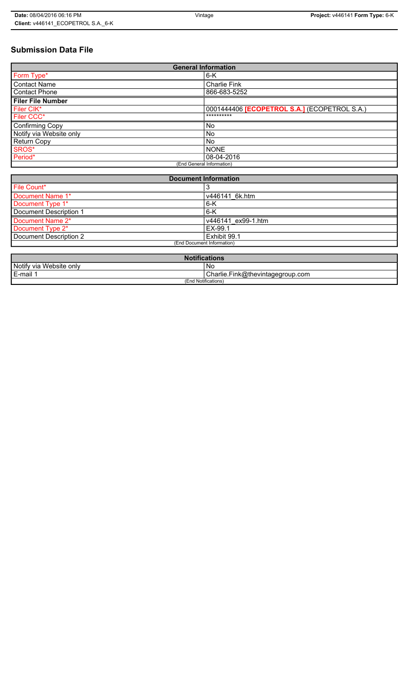# **Submission Data File**

| <b>General Information</b> |                                                     |
|----------------------------|-----------------------------------------------------|
| Form Type*                 | $6-K$                                               |
| <b>Contact Name</b>        | <b>Charlie Fink</b>                                 |
| <b>Contact Phone</b>       | 866-683-5252                                        |
| <b>Filer File Number</b>   |                                                     |
| Filer CIK*                 | 0001444406 <b>[ECOPETROL S.A.]</b> (ECOPETROL S.A.) |
| Filer CCC*                 | **********                                          |
| Confirming Copy            | <b>No</b>                                           |
| Notify via Website only    | <b>No</b>                                           |
| <b>Return Copy</b>         | <b>No</b>                                           |
| SROS*                      | <b>NONE</b>                                         |
| Period*                    | 08-04-2016                                          |
| (End General Information)  |                                                     |

| <b>Document Information</b> |                    |
|-----------------------------|--------------------|
| File Count*                 |                    |
| Document Name 1*            | v446141 6k.htm     |
| Document Type 1*            | 6-K                |
| Document Description 1      | $6-K$              |
| Document Name 2*            | v446141 ex99-1.htm |
| Document Type 2*            | EX-99.1            |
| Document Description 2      | Exhibit 99.1       |
| (End Document Information)  |                    |

| <b>Notifications</b>    |                                  |
|-------------------------|----------------------------------|
| Notify via Website only | ' No                             |
| E-mail                  | Charlie.Fink@thevintagegroup.com |
| (End Notifications)     |                                  |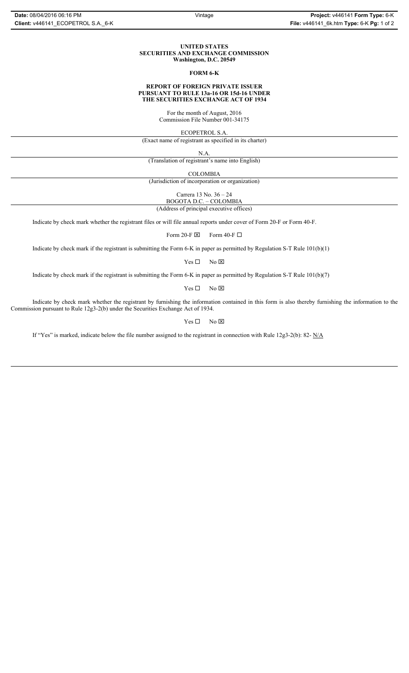### **UNITED STATES SECURITIES AND EXCHANGE COMMISSION Washington, D.C. 20549**

## **FORM 6-K**

### **REPORT OF FOREIGN PRIVATE ISSUER PURSUANT TO RULE 13a-16 OR 15d-16 UNDER THE SECURITIES EXCHANGE ACT OF 1934**

For the month of August, 2016 Commission File Number 001-34175

ECOPETROL S.A.

(Exact name of registrant as specified in its charter)

N.A.

(Translation of registrant's name into English)

COLOMBIA

(Jurisdiction of incorporation or organization)

Carrera 13 No. 36 – 24

BOGOTA D.C. – COLOMBIA (Address of principal executive offices)

Indicate by check mark whether the registrant files or will file annual reports under cover of Form 20-F or Form 40-F.

Form 20-F  $\boxtimes$  Form 40-F  $\Box$ 

Indicate by check mark if the registrant is submitting the Form 6-K in paper as permitted by Regulation S-T Rule 101(b)(1)

 $Yes \Box$  No  $\boxtimes$ 

Indicate by check mark if the registrant is submitting the Form 6-K in paper as permitted by Regulation S-T Rule 101(b)(7)

 $Yes \Box$  No  $\boxtimes$ 

Indicate by check mark whether the registrant by furnishing the information contained in this form is also thereby furnishing the information to the Commission pursuant to Rule 12g3-2(b) under the Securities Exchange Act of 1934.

 $Yes \Box$  No  $\boxtimes$ 

If "Yes" is marked, indicate below the file number assigned to the registrant in connection with Rule 12g3-2(b): 82- N/A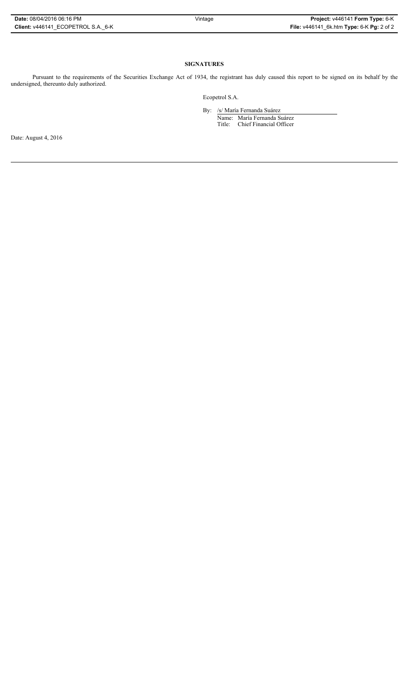## **SIGNATURES**

Pursuant to the requirements of the Securities Exchange Act of 1934, the registrant has duly caused this report to be signed on its behalf by the undersigned, thereunto duly authorized.

Ecopetrol S.A.

By: /s/ María Fernanda Suárez Name: María Fernanda Suárez Title: Chief Financial Officer

Date: August 4, 2016